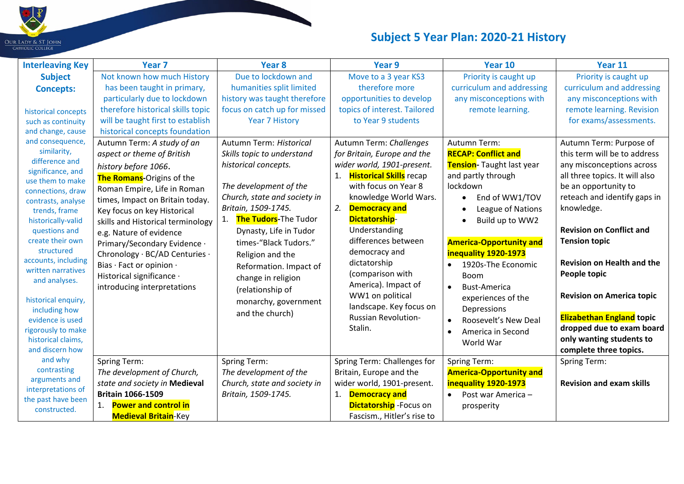

## **Subject 5 Year Plan: 2020-21 History**

| <b>Interleaving Key</b>                                                                                                                                                                                                                                                                                                                                        | Year <sub>7</sub>                                                                                                                                                                                                                                                                                                                                                                                                                                                                                                                                         | Year <sub>8</sub>                                                                                                                                                                                                                                                                                                                                                                                               | Year 9                                                                                                                                                                                                                                                                                                                                                                                                                             | Year 10                                                                                                                                                                                                                                                                                                                           | Year 11                                                                                                                                                                                                                                                                                                                                                                                                                              |
|----------------------------------------------------------------------------------------------------------------------------------------------------------------------------------------------------------------------------------------------------------------------------------------------------------------------------------------------------------------|-----------------------------------------------------------------------------------------------------------------------------------------------------------------------------------------------------------------------------------------------------------------------------------------------------------------------------------------------------------------------------------------------------------------------------------------------------------------------------------------------------------------------------------------------------------|-----------------------------------------------------------------------------------------------------------------------------------------------------------------------------------------------------------------------------------------------------------------------------------------------------------------------------------------------------------------------------------------------------------------|------------------------------------------------------------------------------------------------------------------------------------------------------------------------------------------------------------------------------------------------------------------------------------------------------------------------------------------------------------------------------------------------------------------------------------|-----------------------------------------------------------------------------------------------------------------------------------------------------------------------------------------------------------------------------------------------------------------------------------------------------------------------------------|--------------------------------------------------------------------------------------------------------------------------------------------------------------------------------------------------------------------------------------------------------------------------------------------------------------------------------------------------------------------------------------------------------------------------------------|
| <b>Subject</b><br><b>Concepts:</b><br>historical concepts<br>such as continuity<br>and change, cause<br>and consequence,<br>similarity,<br>difference and<br>significance, and<br>use them to make<br>connections, draw<br>contrasts, analyse<br>trends, frame<br>historically-valid<br>questions and<br>create their own<br>structured<br>accounts, including | Not known how much History<br>has been taught in primary,<br>particularly due to lockdown<br>therefore historical skills topic<br>will be taught first to establish<br>historical concepts foundation<br>Autumn Term: A study of an<br>aspect or theme of British<br>history before 1066.<br>The Romans-Origins of the<br>Roman Empire, Life in Roman<br>times, Impact on Britain today.<br>Key focus on key Historical<br>skills and Historical terminology<br>e.g. Nature of evidence<br>Primary/Secondary Evidence ·<br>Chronology · BC/AD Centuries · | Due to lockdown and<br>humanities split limited<br>history was taught therefore<br>focus on catch up for missed<br><b>Year 7 History</b><br>Autumn Term: Historical<br>Skills topic to understand<br>historical concepts.<br>The development of the<br>Church, state and society in<br>Britain, 1509-1745.<br>The Tudors-The Tudor<br>1.<br>Dynasty, Life in Tudor<br>times-"Black Tudors."<br>Religion and the | Move to a 3 year KS3<br>therefore more<br>opportunities to develop<br>topics of interest. Tailored<br>to Year 9 students<br>Autumn Term: Challenges<br>for Britain, Europe and the<br>wider world, 1901-present.<br><b>Historical Skills</b> recap<br>with focus on Year 8<br>knowledge World Wars.<br><b>Democracy and</b><br>2.<br><b>Dictatorship-</b><br>Understanding<br>differences between<br>democracy and<br>dictatorship | Priority is caught up<br>curriculum and addressing<br>any misconceptions with<br>remote learning.<br>Autumn Term:<br><b>RECAP: Conflict and</b><br>Tension-Taught last year<br>and partly through<br>lockdown<br>End of WW1/TOV<br>League of Nations<br>Build up to WW2<br><b>America-Opportunity and</b><br>inequality 1920-1973 | Priority is caught up<br>curriculum and addressing<br>any misconceptions with<br>remote learning. Revision<br>for exams/assessments.<br>Autumn Term: Purpose of<br>this term will be to address<br>any misconceptions across<br>all three topics. It will also<br>be an opportunity to<br>reteach and identify gaps in<br>knowledge.<br><b>Revision on Conflict and</b><br><b>Tension topic</b><br><b>Revision on Health and the</b> |
| written narratives<br>and analyses.<br>historical enquiry,<br>including how<br>evidence is used<br>rigorously to make<br>historical claims,<br>and discern how<br>and why                                                                                                                                                                                      | Bias · Fact or opinion ·<br>Historical significance ·<br>introducing interpretations<br><b>Spring Term:</b>                                                                                                                                                                                                                                                                                                                                                                                                                                               | Reformation. Impact of<br>change in religion<br>(relationship of<br>monarchy, government<br>and the church)<br>Spring Term:                                                                                                                                                                                                                                                                                     | (comparison with<br>America). Impact of<br>WW1 on political<br>landscape. Key focus on<br><b>Russian Revolution-</b><br>Stalin.<br>Spring Term: Challenges for                                                                                                                                                                                                                                                                     | 1920s-The Economic<br><b>Boom</b><br><b>Bust-America</b><br>experiences of the<br>Depressions<br>Roosevelt's New Deal<br>America in Second<br>$\bullet$<br>World War<br>Spring Term:                                                                                                                                              | People topic<br><b>Revision on America topic</b><br><b>Elizabethan England topic</b><br>dropped due to exam board<br>only wanting students to<br>complete three topics.<br>Spring Term:                                                                                                                                                                                                                                              |
| contrasting<br>arguments and<br>interpretations of<br>the past have been<br>constructed.                                                                                                                                                                                                                                                                       | The development of Church,<br>state and society in Medieval<br><b>Britain 1066-1509</b><br><b>Power and control in</b><br>$\mathbf{1}$ .<br><b>Medieval Britain-Key</b>                                                                                                                                                                                                                                                                                                                                                                                   | The development of the<br>Church, state and society in<br>Britain, 1509-1745.                                                                                                                                                                                                                                                                                                                                   | Britain, Europe and the<br>wider world, 1901-present.<br><b>Democracy and</b><br>1.<br><b>Dictatorship</b> - Focus on<br>Fascism., Hitler's rise to                                                                                                                                                                                                                                                                                | <b>America-Opportunity and</b><br>inequality 1920-1973<br>Post war America -<br>$\bullet$<br>prosperity                                                                                                                                                                                                                           | <b>Revision and exam skills</b>                                                                                                                                                                                                                                                                                                                                                                                                      |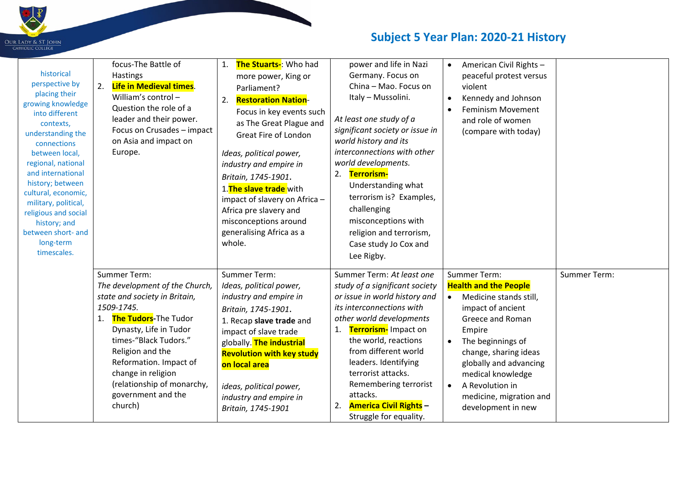

## **Subject 5 Year Plan: 2020-21 History**

| historical<br>perspective by<br>placing their<br>growing knowledge<br>into different<br>contexts,<br>understanding the<br>connections<br>between local,<br>regional, national<br>and international<br>history; between<br>cultural, economic,<br>military, political,<br>religious and social<br>history; and<br>between short- and<br>long-term<br>timescales. | focus-The Battle of<br>Hastings<br>Life in Medieval times.<br>2.<br>William's control-<br>Question the role of a<br>leader and their power.<br>Focus on Crusades - impact<br>on Asia and impact on<br>Europe.                                                                                                     | The Stuarts-: Who had<br>more power, King or<br>Parliament?<br><b>Restoration Nation-</b><br>2.<br>Focus in key events such<br>as The Great Plague and<br>Great Fire of London<br>Ideas, political power,<br>industry and empire in<br>Britain, 1745-1901.<br>1. The slave trade with<br>impact of slavery on Africa -<br>Africa pre slavery and<br>misconceptions around<br>generalising Africa as a<br>whole. | power and life in Nazi<br>Germany. Focus on<br>China - Mao. Focus on<br>Italy - Mussolini.<br>At least one study of a<br>significant society or issue in<br>world history and its<br>interconnections with other<br>world developments.<br>Terrorism-<br>2.<br>Understanding what<br>terrorism is? Examples,<br>challenging<br>misconceptions with<br>religion and terrorism,<br>Case study Jo Cox and<br>Lee Rigby. | American Civil Rights -<br>$\bullet$<br>peaceful protest versus<br>violent<br>Kennedy and Johnson<br>$\bullet$<br><b>Feminism Movement</b><br>and role of women<br>(compare with today)                                                                                                                              |                     |
|-----------------------------------------------------------------------------------------------------------------------------------------------------------------------------------------------------------------------------------------------------------------------------------------------------------------------------------------------------------------|-------------------------------------------------------------------------------------------------------------------------------------------------------------------------------------------------------------------------------------------------------------------------------------------------------------------|-----------------------------------------------------------------------------------------------------------------------------------------------------------------------------------------------------------------------------------------------------------------------------------------------------------------------------------------------------------------------------------------------------------------|----------------------------------------------------------------------------------------------------------------------------------------------------------------------------------------------------------------------------------------------------------------------------------------------------------------------------------------------------------------------------------------------------------------------|----------------------------------------------------------------------------------------------------------------------------------------------------------------------------------------------------------------------------------------------------------------------------------------------------------------------|---------------------|
|                                                                                                                                                                                                                                                                                                                                                                 | Summer Term:<br>The development of the Church,<br>state and society in Britain,<br>1509-1745.<br>The Tudors-The Tudor<br>1.<br>Dynasty, Life in Tudor<br>times-"Black Tudors."<br>Religion and the<br>Reformation. Impact of<br>change in religion<br>(relationship of monarchy,<br>government and the<br>church) | Summer Term:<br>Ideas, political power,<br>industry and empire in<br>Britain, 1745-1901.<br>1. Recap slave trade and<br>impact of slave trade<br>globally. The industrial<br><b>Revolution with key study</b><br>on local area<br>ideas, political power,<br>industry and empire in<br>Britain, 1745-1901                                                                                                       | Summer Term: At least one<br>study of a significant society<br>or issue in world history and<br>its interconnections with<br>other world developments<br>Terrorism-Impact on<br>1.<br>the world, reactions<br>from different world<br>leaders. Identifying<br>terrorist attacks.<br>Remembering terrorist<br>attacks.<br><b>America Civil Rights -</b><br>2.<br>Struggle for equality.                               | Summer Term:<br><b>Health and the People</b><br>Medicine stands still,<br>$\bullet$<br>impact of ancient<br>Greece and Roman<br>Empire<br>The beginnings of<br>change, sharing ideas<br>globally and advancing<br>medical knowledge<br>A Revolution in<br>$\bullet$<br>medicine, migration and<br>development in new | <b>Summer Term:</b> |